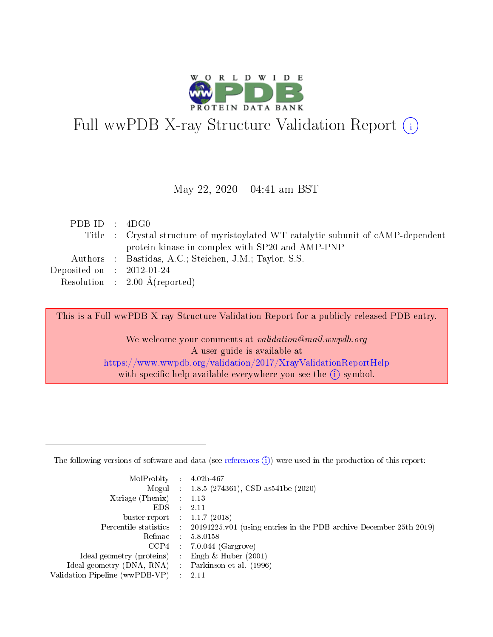

# Full wwPDB X-ray Structure Validation Report (i)

#### May 22,  $2020 - 04:41$  am BST

| PDBID : 4DG0                |                                                                                   |
|-----------------------------|-----------------------------------------------------------------------------------|
|                             | Title : Crystal structure of myristoylated WT catalytic subunit of cAMP-dependent |
|                             | protein kinase in complex with SP20 and AMP-PNP                                   |
|                             | Authors : Bastidas, A.C.; Steichen, J.M.; Taylor, S.S.                            |
| Deposited on : $2012-01-24$ |                                                                                   |
|                             | Resolution : $2.00 \text{ Å}$ (reported)                                          |

This is a Full wwPDB X-ray Structure Validation Report for a publicly released PDB entry.

We welcome your comments at validation@mail.wwpdb.org A user guide is available at <https://www.wwpdb.org/validation/2017/XrayValidationReportHelp> with specific help available everywhere you see the  $(i)$  symbol.

The following versions of software and data (see [references](https://www.wwpdb.org/validation/2017/XrayValidationReportHelp#references)  $(1)$ ) were used in the production of this report:

| MolProbity                     | $\mathcal{L}_{\rm{max}}$ | $4.02b - 467$                                                                |
|--------------------------------|--------------------------|------------------------------------------------------------------------------|
|                                |                          | Mogul : $1.8.5$ (274361), CSD as 541be (2020)                                |
| $X$ triage (Phenix) :          |                          | 1.13                                                                         |
| EDS.                           |                          | 2.11                                                                         |
| buster-report : $1.1.7$ (2018) |                          |                                                                              |
| Percentile statistics :        |                          | $20191225 \text{ v}01$ (using entries in the PDB archive December 25th 2019) |
| Refmac                         |                          | 5.8.0158                                                                     |
| $CCP4$ :                       |                          | $7.0.044$ (Gargrove)                                                         |
| Ideal geometry (proteins) :    |                          | Engh $\&$ Huber (2001)                                                       |
| Ideal geometry (DNA, RNA) :    |                          | Parkinson et al. (1996)                                                      |
| Validation Pipeline (wwPDB-VP) | $\mathcal{L}$            | -2.11                                                                        |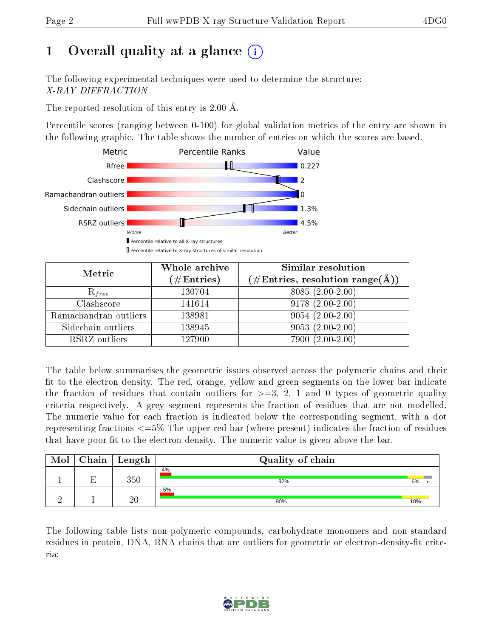# 1 [O](https://www.wwpdb.org/validation/2017/XrayValidationReportHelp#overall_quality)verall quality at a glance (i)

The following experimental techniques were used to determine the structure: X-RAY DIFFRACTION

The reported resolution of this entry is 2.00 Å.

Percentile scores (ranging between 0-100) for global validation metrics of the entry are shown in the following graphic. The table shows the number of entries on which the scores are based.



| Metric                | Whole archive<br>$(\#\mathrm{Entries})$ | Similar resolution<br>$(\#\text{Entries}, \text{resolution range}(\textup{\AA}))$ |
|-----------------------|-----------------------------------------|-----------------------------------------------------------------------------------|
| $R_{free}$            | 130704                                  | 8085 (2.00-2.00)                                                                  |
| Clashscore            | 141614                                  | $9178(2.00-2.00)$                                                                 |
| Ramachandran outliers | 138981                                  | $9054(2.00-2.00)$                                                                 |
| Sidechain outliers    | 138945                                  | $9053(2.00-2.00)$                                                                 |
| RSRZ outliers         | 127900                                  | $7900(2.00-2.00)$                                                                 |

The table below summarises the geometric issues observed across the polymeric chains and their fit to the electron density. The red, orange, yellow and green segments on the lower bar indicate the fraction of residues that contain outliers for  $>=3, 2, 1$  and 0 types of geometric quality criteria respectively. A grey segment represents the fraction of residues that are not modelled. The numeric value for each fraction is indicated below the corresponding segment, with a dot representing fractions <=5% The upper red bar (where present) indicates the fraction of residues that have poor fit to the electron density. The numeric value is given above the bar.

| Mol | Chain | Length | Quality of chain |     |
|-----|-------|--------|------------------|-----|
|     | П     | 350    | 4%<br>92%        | 6%  |
|     |       | 20     | 5%<br>90%        | 10% |

The following table lists non-polymeric compounds, carbohydrate monomers and non-standard residues in protein, DNA, RNA chains that are outliers for geometric or electron-density-fit criteria:

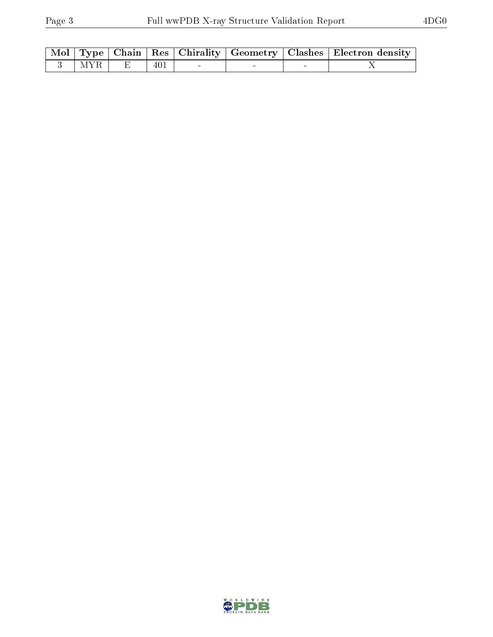|               |  |                                                                      |  | Mol   Type   Chain   Res   Chirality   Geometry   Clashes   Electron density |
|---------------|--|----------------------------------------------------------------------|--|------------------------------------------------------------------------------|
| $3$   MYR   E |  | $\begin{array}{ c c c c c c } \hline 401 & & - \ \hline \end{array}$ |  |                                                                              |

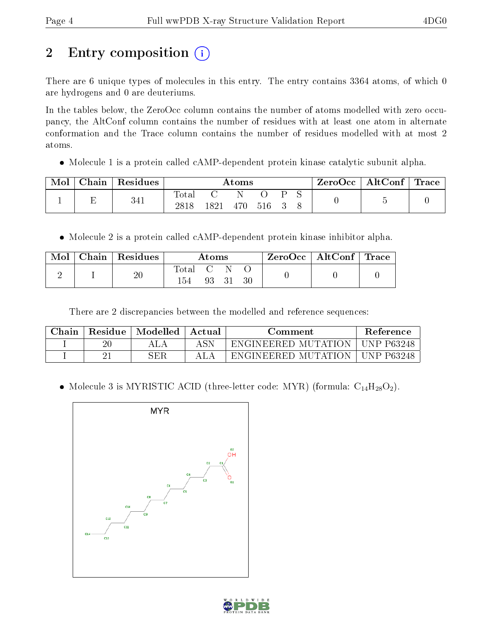# 2 Entry composition (i)

There are 6 unique types of molecules in this entry. The entry contains 3364 atoms, of which 0 are hydrogens and 0 are deuteriums.

In the tables below, the ZeroOcc column contains the number of atoms modelled with zero occupancy, the AltConf column contains the number of residues with at least one atom in alternate conformation and the Trace column contains the number of residues modelled with at most 2 atoms.

• Molecule 1 is a protein called cAMP-dependent protein kinase catalytic subunit alpha.

| Chain | Residues |               |      | Atoms |     |  | $\text{ZeroOcc}$   AltConf   Trace |  |
|-------|----------|---------------|------|-------|-----|--|------------------------------------|--|
|       | 341      | Total<br>2818 | 1821 | 470   | 516 |  |                                    |  |

• Molecule 2 is a protein called cAMP-dependent protein kinase inhibitor alpha.

| $\text{Mol}$ | Chain   Residues |                    | Atoms    |  | $\rm ZeroOcc$   Alt $\rm Conf$   Trace |  |
|--------------|------------------|--------------------|----------|--|----------------------------------------|--|
|              | $20\,$           | Total C N \<br>154 | 93 31 30 |  |                                        |  |

There are 2 discrepancies between the modelled and reference sequences:

| Chain | Residue | Modelled | Actual | ∷omment                           | <b>Reference</b> |
|-------|---------|----------|--------|-----------------------------------|------------------|
|       | $20\,$  |          | ASN    | ENGINEERED MUTATION               | UNP P63248       |
|       |         | SER      |        | ` MUTATION -<br><b>ENGINEERED</b> | INP P63248       |

• Molecule 3 is MYRISTIC ACID (three-letter code: MYR) (formula:  $C_{14}H_{28}O_2$ ).



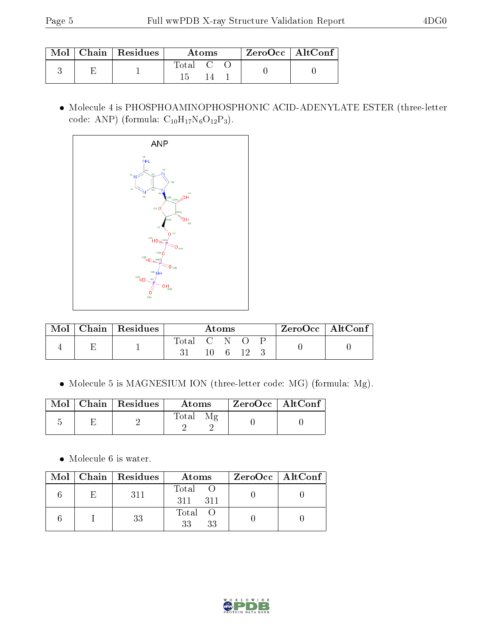|  | $\mid$ Mol $\mid$ Chain $\mid$ Residues | Atoms   |  |  | $ZeroOcc \mid AltConf \mid$ |  |
|--|-----------------------------------------|---------|--|--|-----------------------------|--|
|  |                                         | Total C |  |  |                             |  |

 Molecule 4 is PHOSPHOAMINOPHOSPHONIC ACID-ADENYLATE ESTER (three-letter code: ANP) (formula:  $C_{10}H_{17}N_6O_{12}P_3$ ).



| Mol |  | $Chain   Residues$ |                       | Atoms |  | ZeroOcc   AltConf |  |
|-----|--|--------------------|-----------------------|-------|--|-------------------|--|
|     |  |                    | Total C N O           |       |  |                   |  |
|     |  |                    | $10 \quad 6 \quad 12$ |       |  |                   |  |

Molecule 5 is MAGNESIUM ION (three-letter code: MG) (formula: Mg).

|  | Mol   Chain   Residues | Atoms             | $\mid$ ZeroOcc $\mid$ AltConf $\mid$ |  |
|--|------------------------|-------------------|--------------------------------------|--|
|  |                        | Mε<br>$\rm Total$ |                                      |  |

 $\bullet\,$  Molecule 6 is water.

|  | Mol   Chain   Residues | Atoms                 | $ZeroOcc \   \$ AltConf |
|--|------------------------|-----------------------|-------------------------|
|  | 311                    | Total<br>311<br>- 311 |                         |
|  | 33                     | Total O<br>33<br>33   |                         |

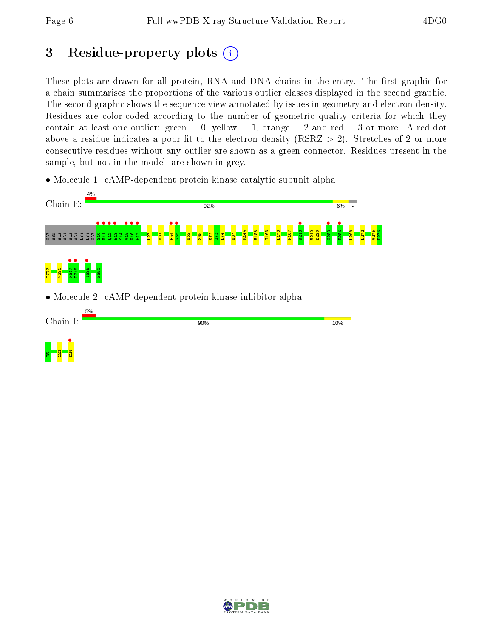# 3 Residue-property plots  $(i)$

These plots are drawn for all protein, RNA and DNA chains in the entry. The first graphic for a chain summarises the proportions of the various outlier classes displayed in the second graphic. The second graphic shows the sequence view annotated by issues in geometry and electron density. Residues are color-coded according to the number of geometric quality criteria for which they contain at least one outlier: green  $= 0$ , yellow  $= 1$ , orange  $= 2$  and red  $= 3$  or more. A red dot above a residue indicates a poor fit to the electron density (RSRZ  $> 2$ ). Stretches of 2 or more consecutive residues without any outlier are shown as a green connector. Residues present in the sample, but not in the model, are shown in grey.

• Molecule 1: cAMP-dependent protein kinase catalytic subunit alpha



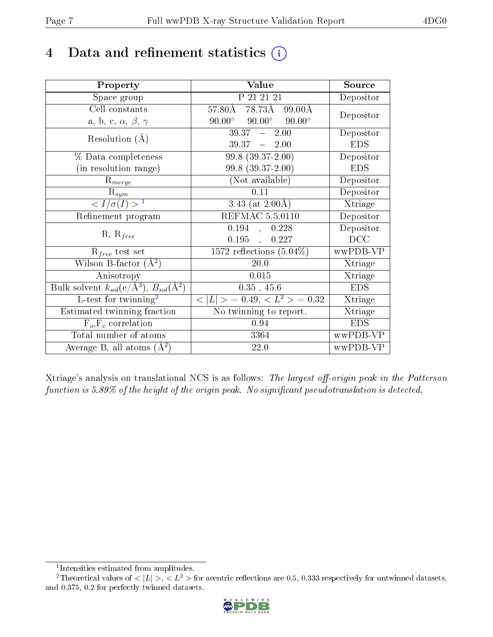# 4 Data and refinement statistics  $(i)$

| Property                                                         | Value                                               | Source     |
|------------------------------------------------------------------|-----------------------------------------------------|------------|
| Space group                                                      | P 21 21 21                                          | Depositor  |
| Cell constants                                                   | $57.80\overline{\text{A}}$<br>78.73Å 99.00Å         | Depositor  |
| a, b, c, $\alpha$ , $\beta$ , $\gamma$                           | $90.00^{\circ}$<br>$90.00^{\circ}$<br>$90.00^\circ$ |            |
| Resolution $(A)$                                                 | $39.37 - 2.00$                                      | Depositor  |
|                                                                  | $39.37 - 2.00$                                      | <b>EDS</b> |
| $\%$ Data completeness                                           | $99.8(39.37-2.00)$                                  | Depositor  |
| (in resolution range)                                            | 99.8 (39.37-2.00)                                   | <b>EDS</b> |
| $R_{merge}$                                                      | (Not available)                                     | Depositor  |
| $\mathrm{R}_{sym}$                                               | 0.11                                                | Depositor  |
| $\langle I/\sigma(I) \rangle^{-1}$                               | $\overline{3.43}$ (at 2.00Å)                        | Xtriage    |
| Refinement program                                               | <b>REFMAC 5.5.0110</b>                              | Depositor  |
|                                                                  | 0.194<br>0.228<br>$\overline{a}$                    | Depositor  |
| $R, R_{free}$                                                    | 0.195<br>0.227<br>$\frac{1}{2}$                     | DCC        |
| $R_{free}$ test set                                              | 1572 reflections $(5.04\%)$                         | wwPDB-VP   |
| Wilson B-factor $(A^2)$                                          | $20.0\,$                                            | Xtriage    |
| Anisotropy                                                       | 0.015                                               | Xtriage    |
| Bulk solvent $k_{sol}(\text{e}/\text{A}^3), B_{sol}(\text{A}^2)$ | $0.35$ , 45.6                                       | <b>EDS</b> |
| L-test for $\mathrm{twinning}^2$                                 | $< L >$ = 0.49, $< L2$ = 0.32                       | Xtriage    |
| Estimated twinning fraction                                      | No twinning to report.                              | Xtriage    |
| $\overline{F_o}, \overline{F_c}$ correlation                     | 0.94                                                | <b>EDS</b> |
| Total number of atoms                                            | 3364                                                | wwPDB-VP   |
| Average B, all atoms $(A^2)$                                     | 22.0                                                | wwPDB-VP   |

Xtriage's analysis on translational NCS is as follows: The largest off-origin peak in the Patterson function is  $5.89\%$  of the height of the origin peak. No significant pseudotranslation is detected.

<sup>&</sup>lt;sup>2</sup>Theoretical values of  $\langle |L| \rangle$ ,  $\langle L^2 \rangle$  for acentric reflections are 0.5, 0.333 respectively for untwinned datasets, and 0.375, 0.2 for perfectly twinned datasets.



<span id="page-6-1"></span><span id="page-6-0"></span><sup>1</sup> Intensities estimated from amplitudes.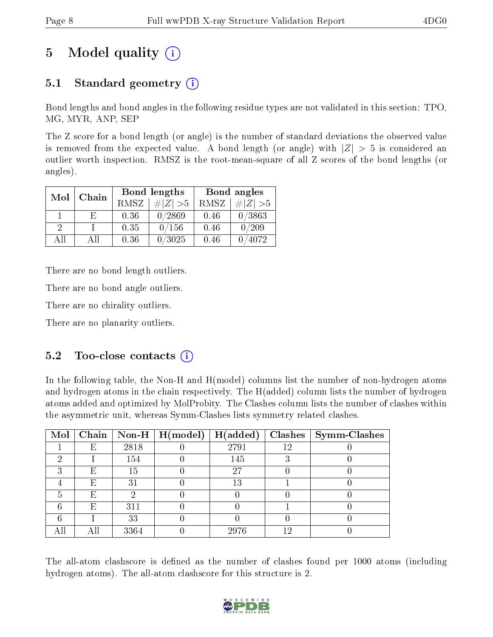# 5 Model quality  $(i)$

## 5.1 Standard geometry  $(i)$

Bond lengths and bond angles in the following residue types are not validated in this section: TPO, MG, MYR, ANP, SEP

The Z score for a bond length (or angle) is the number of standard deviations the observed value is removed from the expected value. A bond length (or angle) with  $|Z| > 5$  is considered an outlier worth inspection. RMSZ is the root-mean-square of all Z scores of the bond lengths (or angles).

| Mol      | Chain |      | Bond lengths |      | Bond angles |
|----------|-------|------|--------------|------|-------------|
|          |       | RMSZ | $\# Z  > 5$  | RMSZ | $\ Z\  > 5$ |
|          | F.    | 0.36 | 0/2869       | 0.46 | 0/3863      |
| $\Omega$ |       | 0.35 | 0/156        | 0.46 | 0/209       |
| AΠ       | Аll   | 0.36 | 0/3025       | 0.46 | 4072        |

There are no bond length outliers.

There are no bond angle outliers.

There are no chirality outliers.

There are no planarity outliers.

### $5.2$  Too-close contacts  $(i)$

In the following table, the Non-H and H(model) columns list the number of non-hydrogen atoms and hydrogen atoms in the chain respectively. The H(added) column lists the number of hydrogen atoms added and optimized by MolProbity. The Clashes column lists the number of clashes within the asymmetric unit, whereas Symm-Clashes lists symmetry related clashes.

| Mol |   |      | Chain   Non-H   $H (model)$ | H(added) |    | $Clashes$   Symm-Clashes |
|-----|---|------|-----------------------------|----------|----|--------------------------|
|     | Ε | 2818 |                             | 2791     | 12 |                          |
| 6)  |   | 154  |                             | 145      |    |                          |
| "   | Ε | 15   |                             | 27       |    |                          |
|     | Е | 31   |                             | 13       |    |                          |
| h   | Е |      |                             |          |    |                          |
|     | Е | 311  |                             |          |    |                          |
|     |   | 33   |                             |          |    |                          |
|     |   | 3364 |                             | 2976     |    |                          |

The all-atom clashscore is defined as the number of clashes found per 1000 atoms (including hydrogen atoms). The all-atom clashscore for this structure is 2.

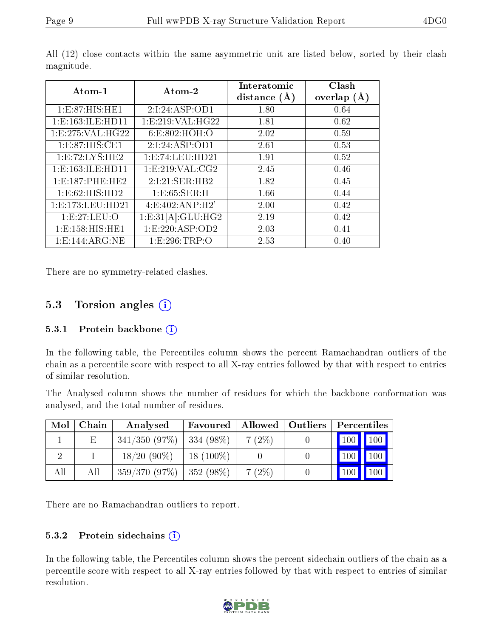| Atom-1               | Atom-2              | Interatomic<br>distance $(A)$ | Clash<br>overlap $(\AA)$ |
|----------------------|---------------------|-------------------------------|--------------------------|
| 1:E:87:HIS:HE1       | 2:1:24:ASP:OD1      | 1.80                          | 0.64                     |
| 1: E: 163: ILE: HD11 | 1: E:219: VAL:HG22  | 1.81                          | 0.62                     |
| 1:E:275:VAL:HG22     | 6:E:802:HOH:O       | 2.02                          | 0.59                     |
| 1: E:87: HIS: CE1    | 2:1:24:ASP:OD1      | 2.61                          | 0.53                     |
| 1: E: 72: LYS: HE2   | 1: E: 74: LEU: HD21 | 1.91                          | 0.52                     |
| 1:E:163:ILE:HD11     | 1: E:219: VAL: CG2  | 2.45                          | 0.46                     |
| 1:E:187:PHE:HE2      | 2:1:21:SER:HB2      | 1.82                          | 0.45                     |
| 1: E:62: HIS: HD2    | 1:E:65:SER:H        | 1.66                          | 0.44                     |
| 1: E: 173: LEU: HD21 | 4: E:402: AND:H2'   | 2.00                          | 0.42                     |
| 1:E:27:LEU:O         | 1:E:31[A]:GLU:HG2   | 2.19                          | 0.42                     |
| 1: E: 158: HIS: HE1  | 1: E: 220: ASP: OD2 | 2.03                          | 0.41                     |
| 1: E: 144: ARG: NE   | 1:E:296:TRP:O       | 2.53                          | 0.40                     |

All (12) close contacts within the same asymmetric unit are listed below, sorted by their clash magnitude.

There are no symmetry-related clashes.

### 5.3 Torsion angles (i)

#### 5.3.1 Protein backbone (i)

In the following table, the Percentiles column shows the percent Ramachandran outliers of the chain as a percentile score with respect to all X-ray entries followed by that with respect to entries of similar resolution.

The Analysed column shows the number of residues for which the backbone conformation was analysed, and the total number of residues.

| Mol | Chain | Analysed                      | Favoured    | Allowed  | $\mid$ Outliers $\mid$ | Percentiles                         |
|-----|-------|-------------------------------|-------------|----------|------------------------|-------------------------------------|
|     | Ε     | $341/350$ (97\%)   334 (98\%) |             | $7(2\%)$ |                        | $\mid$ 100 $\mid$ 100 $\mid$        |
|     |       | $18/20(90\%)$                 | $18(100\%)$ |          |                        | 100 <sub>l</sub><br>100             |
| All | All   | $359/370(97\%)$   $352(98\%)$ |             | 7(2%)    |                        | 100 <sup>7</sup><br>$^{\prime}$ 100 |

There are no Ramachandran outliers to report.

#### 5.3.2 Protein sidechains  $(i)$

In the following table, the Percentiles column shows the percent sidechain outliers of the chain as a percentile score with respect to all X-ray entries followed by that with respect to entries of similar resolution.

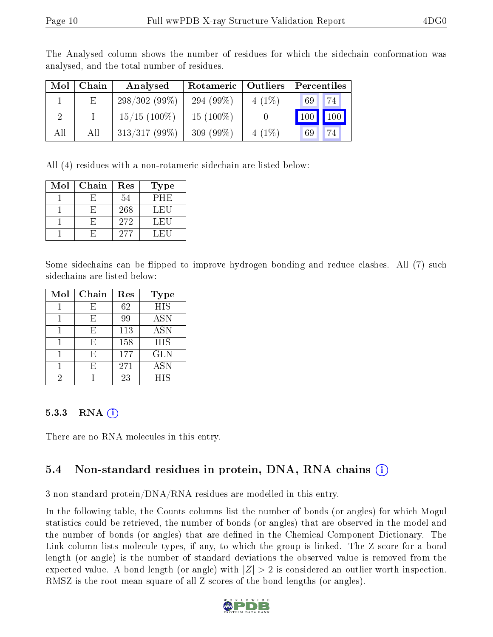| Mol | Chain | Analysed        | Rotameric   Outliers |          | Percentiles      |
|-----|-------|-----------------|----------------------|----------|------------------|
|     | E.    | $298/302(99\%)$ | 294 $(99\%)$         | $4(1\%)$ | 74<br>69         |
| റ   |       | $15/15$ (100\%) | $15(100\%)$          |          | 100 <sup>1</sup> |
| All | All   | $313/317(99\%)$ | $309(99\%)$          | $4(1\%)$ | 69               |

The Analysed column shows the number of residues for which the sidechain conformation was analysed, and the total number of residues.

All (4) residues with a non-rotameric sidechain are listed below:

| Mol | Chain | Res | Type |
|-----|-------|-----|------|
|     |       | 54  | PHE  |
|     |       | 268 | LEU  |
|     |       | 272 | LEU  |
|     |       | 277 | LEU  |

Some sidechains can be flipped to improve hydrogen bonding and reduce clashes. All (7) such sidechains are listed below:

| Mol | Chain | Res | Type       |
|-----|-------|-----|------------|
|     | F,    | 62  | <b>HIS</b> |
|     | E     | 99  | <b>ASN</b> |
|     | E     | 113 | <b>ASN</b> |
|     | E     | 158 | <b>HIS</b> |
|     | F,    | 177 | <b>GLN</b> |
|     | F,    | 271 | <b>ASN</b> |
|     |       | 23  | <b>HIS</b> |

#### 5.3.3 RNA  $(i)$

There are no RNA molecules in this entry.

### 5.4 Non-standard residues in protein, DNA, RNA chains (i)

3 non-standard protein/DNA/RNA residues are modelled in this entry.

In the following table, the Counts columns list the number of bonds (or angles) for which Mogul statistics could be retrieved, the number of bonds (or angles) that are observed in the model and the number of bonds (or angles) that are dened in the Chemical Component Dictionary. The Link column lists molecule types, if any, to which the group is linked. The Z score for a bond length (or angle) is the number of standard deviations the observed value is removed from the expected value. A bond length (or angle) with  $|Z| > 2$  is considered an outlier worth inspection. RMSZ is the root-mean-square of all Z scores of the bond lengths (or angles).

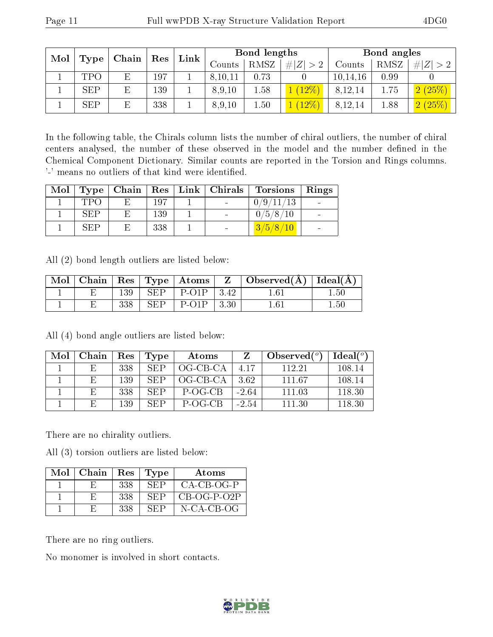| Mol<br>Chain<br>Type |  |     |  |               |             | Res        |            |      |                             |  |  |  |  |  |  |  |  |  |  | Link |  | Bond lengths |  |  | Bond angles |  |
|----------------------|--|-----|--|---------------|-------------|------------|------------|------|-----------------------------|--|--|--|--|--|--|--|--|--|--|------|--|--------------|--|--|-------------|--|
|                      |  |     |  | $\rm{Counts}$ | <b>RMSZ</b> | Z<br>$#^+$ | Counts     | RMSZ | #                           |  |  |  |  |  |  |  |  |  |  |      |  |              |  |  |             |  |
| <b>TPO</b>           |  | 197 |  | 8,10,11       | 0.73        |            | 10, 14, 16 | 0.99 |                             |  |  |  |  |  |  |  |  |  |  |      |  |              |  |  |             |  |
| <b>SEP</b>           |  | 139 |  | 8,9,10        | 1.58        | 12%        | 8,12,14    | 1.75 | $(25\%$                     |  |  |  |  |  |  |  |  |  |  |      |  |              |  |  |             |  |
| <b>SEP</b>           |  | 338 |  | 8,9,10        | 1.50        | $12\%$     | 8,12,14    | 1.88 | $\sqrt{(25\%)}$<br>$\Omega$ |  |  |  |  |  |  |  |  |  |  |      |  |              |  |  |             |  |

In the following table, the Chirals column lists the number of chiral outliers, the number of chiral centers analysed, the number of these observed in the model and the number defined in the Chemical Component Dictionary. Similar counts are reported in the Torsion and Rings columns. '-' means no outliers of that kind were identified.

| Mol | Type <sub>1</sub> |     | Chain   Res   Link   Chirals | Torsions   Rings |  |
|-----|-------------------|-----|------------------------------|------------------|--|
|     | <b>TPO</b>        | 197 |                              | 0/9/11/13        |  |
|     | SEP               | 139 | $\sim$                       | 0/5/8/10         |  |
|     | <b>SEP</b>        | 338 |                              | 3/5/8/10         |  |

All (2) bond length outliers are listed below:

| Mol | Chain | $\operatorname{Res}$ |     | $\vert$ Type $\vert$ Atoms $\vert$ | $\mathbf{Z}$ | $\mid$ Observed( $\AA$ ) $\mid$ Ideal( $\AA$ ) |              |
|-----|-------|----------------------|-----|------------------------------------|--------------|------------------------------------------------|--------------|
|     |       | 139                  | SFP | $P$ -O <sub>1</sub> $P$            | 3.42         | $1.61\,$                                       | $1.50^\circ$ |
|     |       | 338                  | SFP | $P$ -O <sub>1</sub> $P$            | 3.30         | 1 61                                           | 1.50         |

All (4) bond angle outliers are listed below:

| Mol | Chain | Res | Type | Atoms      |         | Observed $(°)$ | Ideal $(°)$ |
|-----|-------|-----|------|------------|---------|----------------|-------------|
|     |       | 338 | SEP  | $OG-CB-CA$ | 4.17    | 112.21         | 108.14      |
|     | E.    | 139 | SEP  | OG-CB-CA   | 3.62    | 111.67         | 108.14      |
|     |       | 338 | SEP  | P-OG-CB    | $-2.64$ | 111.03         | 118.30      |
|     |       | 139 | SEP  | P-OG-CB    | $-2.54$ | 111.30         | 118.30      |

There are no chirality outliers.

All (3) torsion outliers are listed below:

| $Mol$   Chain | $\operatorname{Res}$ | Type | Atoms         |
|---------------|----------------------|------|---------------|
|               | 338                  | SEP  | CA-CB-OG-P    |
|               | 338                  | SEP  | $CB-OG-P-O2P$ |
| н             | 338                  | SEP  | N-CA-CB-OG    |

There are no ring outliers.

No monomer is involved in short contacts.

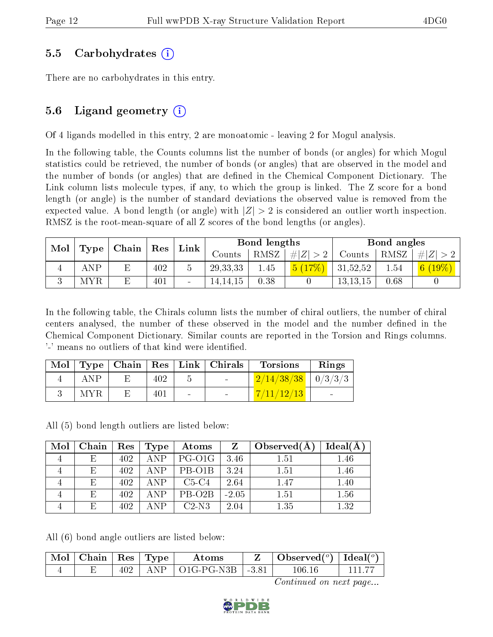### 5.5 Carbohydrates (i)

There are no carbohydrates in this entry.

### 5.6 Ligand geometry  $(i)$

Of 4 ligands modelled in this entry, 2 are monoatomic - leaving 2 for Mogul analysis.

In the following table, the Counts columns list the number of bonds (or angles) for which Mogul statistics could be retrieved, the number of bonds (or angles) that are observed in the model and the number of bonds (or angles) that are defined in the Chemical Component Dictionary. The Link column lists molecule types, if any, to which the group is linked. The Z score for a bond length (or angle) is the number of standard deviations the observed value is removed from the expected value. A bond length (or angle) with  $|Z| > 2$  is considered an outlier worth inspection. RMSZ is the root-mean-square of all Z scores of the bond lengths (or angles).

| Mol<br>Type | $ $ Chain $ $ Res |   |     | Link |            | Bond lengths |         |            | Bond angles |              |  |
|-------------|-------------------|---|-----|------|------------|--------------|---------|------------|-------------|--------------|--|
|             |                   |   |     |      | Counts     | RMSZ         | #Z  > 2 | Counts     | RMSZ        | $+  Z   > 2$ |  |
|             | ANP               | E | 402 |      | 29, 33, 33 | 1.45         | 5(17%)  | 31,52,52   | 1.54        | 6 $(19\%)$   |  |
|             | MYR               |   | 401 |      | 14,14,15   | 0.38         |         | 13, 13, 15 | 0.68        |              |  |

In the following table, the Chirals column lists the number of chiral outliers, the number of chiral centers analysed, the number of these observed in the model and the number defined in the Chemical Component Dictionary. Similar counts are reported in the Torsion and Rings columns. '-' means no outliers of that kind were identified.

|            |     |        | Mol   Type   Chain   Res   Link   Chirals | <b>Torsions</b>        | Rings |
|------------|-----|--------|-------------------------------------------|------------------------|-------|
| <b>ANP</b> | 402 |        | <b>Contract Contract</b>                  | $2/14/38/38$   0/3/3/3 |       |
| <b>MYR</b> | 401 | $\sim$ |                                           | 7/11/12/13             |       |

All (5) bond length outliers are listed below:

| Mol | Chain | $\mathbf{Res}$ | Type       | $\boldsymbol{\mathrm{Atoms}}$ | Z       | Observe d(A) | Ideal(A) |
|-----|-------|----------------|------------|-------------------------------|---------|--------------|----------|
|     | E.    | 402            |            | $ANP$   PG-O1G                | 3.46    | 1.51         | 1.46     |
|     | E.    | 402            | <b>ANP</b> | $P_{\rm B-O1B}$               | 3.24    | 1.51         | 1.46     |
|     | E.    | 402            | ANP.       | $C5-C4$                       | 2.64    | 1.47         | 1.40     |
|     | E.    | 402            | A NP       | PB-O2B                        | $-2.05$ | 1.51         | 1.56     |
|     | F.    | 402            | A N D      | $C2-N3$                       | 2.04    | 1.35         | 1.32     |

All (6) bond angle outliers are listed below:

| $\mid$ Mol $\mid$ Chain $\mid$ Res $\mid$ Type $\mid$ |     | Atoms                            | Observed $(^\circ)$   Ideal $(^\circ)$ |        |  |
|-------------------------------------------------------|-----|----------------------------------|----------------------------------------|--------|--|
|                                                       | 402 | $+$ ANP $+$ O1G-PG-N3B $+$ -3.81 |                                        | 106.16 |  |

Continued on next page...

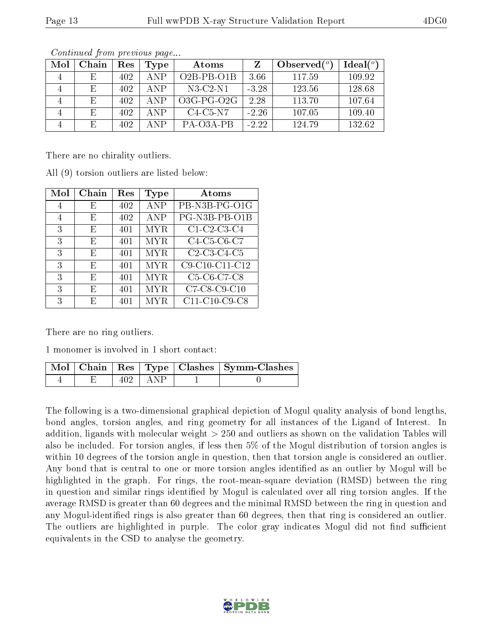| Mol | Chain | Res  | Type  | Atoms        |         | Observed $(°)$ | Ideal $(^\circ)$ |
|-----|-------|------|-------|--------------|---------|----------------|------------------|
|     | E     | 402. | A N P | $O2B-PB-O1B$ | 3.66    | 117.59         | 109.92           |
|     | E     | 402  | ANP   | $N3-C2-N1$   | $-3.28$ | 123.56         | 128.68           |
|     | E     | 402  | ANP   | $O3G-PG-O2G$ | 2.28    | 113.70         | 107.64           |
|     | Ε     | 402  | ANP   | $C4-C5-N7$   | $-2.26$ | 107.05         | 109.40           |
|     | E     | 402  | A N P | PA-O3A-PB    | $-2.22$ | 124.79         | 132.62           |

Continued from previous page...

There are no chirality outliers.

All (9) torsion outliers are listed below:

| Mol            | Chain | Res | Type       | Atoms                                                          |
|----------------|-------|-----|------------|----------------------------------------------------------------|
| 4              | E     | 402 | <b>ANP</b> | PB-N3B-PG-O1G                                                  |
| $\overline{4}$ | E     | 402 | <b>ANP</b> | PG-N3B-PB-O1B                                                  |
| 3              | E     | 401 | <b>MYR</b> | $C1-C2-C3-C4$                                                  |
| 3              | E     | 401 | <b>MYR</b> | C4-C5-C6-C7                                                    |
| 3              | E     | 401 | <b>MYR</b> | $\overline{C2}$ -C3-C4-C5                                      |
| 3              | F,    | 401 | <b>MYR</b> | C9-C10-C11-C12                                                 |
| 3              | F,    | 401 | <b>MYR</b> | C <sub>5</sub> -C <sub>6</sub> -C <sub>7</sub> -C <sub>8</sub> |
| 3              | E     | 401 | <b>MYR</b> | C7-C8-C9-C10                                                   |
| 3              | F)    | 401 | MYR.       | C11-C10-C9-C8                                                  |

There are no ring outliers.

1 monomer is involved in 1 short contact:

|  |                     | Mol   Chain   Res   Type   Clashes   Symm-Clashes |
|--|---------------------|---------------------------------------------------|
|  | $402 \pm \text{AP}$ |                                                   |

The following is a two-dimensional graphical depiction of Mogul quality analysis of bond lengths, bond angles, torsion angles, and ring geometry for all instances of the Ligand of Interest. In addition, ligands with molecular weight > 250 and outliers as shown on the validation Tables will also be included. For torsion angles, if less then 5% of the Mogul distribution of torsion angles is within 10 degrees of the torsion angle in question, then that torsion angle is considered an outlier. Any bond that is central to one or more torsion angles identified as an outlier by Mogul will be highlighted in the graph. For rings, the root-mean-square deviation (RMSD) between the ring in question and similar rings identified by Mogul is calculated over all ring torsion angles. If the average RMSD is greater than 60 degrees and the minimal RMSD between the ring in question and any Mogul-identified rings is also greater than 60 degrees, then that ring is considered an outlier. The outliers are highlighted in purple. The color gray indicates Mogul did not find sufficient equivalents in the CSD to analyse the geometry.

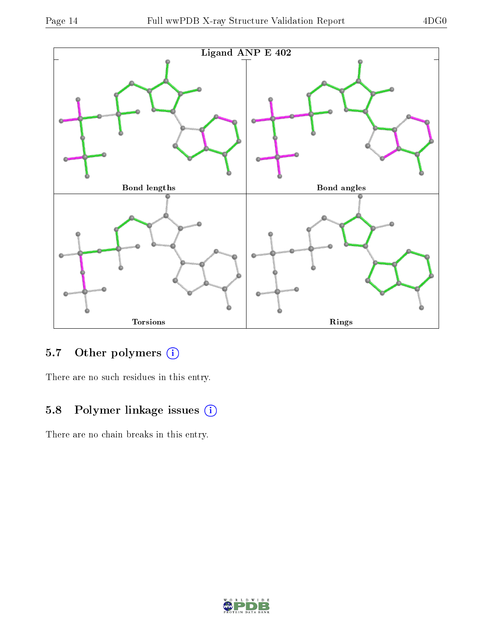

## 5.7 [O](https://www.wwpdb.org/validation/2017/XrayValidationReportHelp#nonstandard_residues_and_ligands)ther polymers (i)

There are no such residues in this entry.

### 5.8 Polymer linkage issues (i)

There are no chain breaks in this entry.

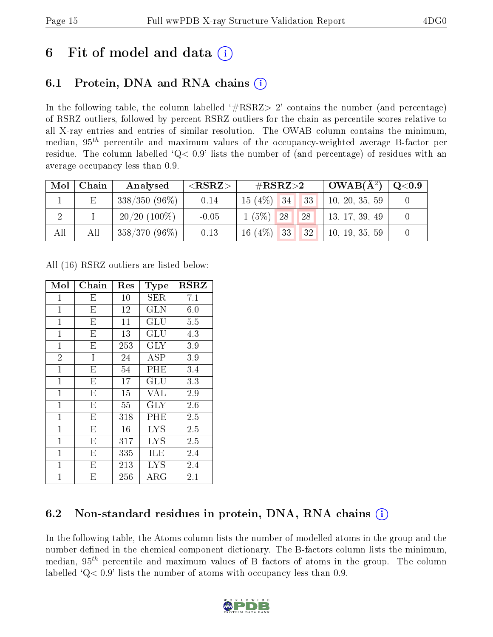# 6 Fit of model and data  $\left( \cdot \right)$

## 6.1 Protein, DNA and RNA chains (i)

In the following table, the column labelled  $#RSRZ>2'$  contains the number (and percentage) of RSRZ outliers, followed by percent RSRZ outliers for the chain as percentile scores relative to all X-ray entries and entries of similar resolution. The OWAB column contains the minimum, median,  $95<sup>th</sup>$  percentile and maximum values of the occupancy-weighted average B-factor per residue. The column labelled  $Q< 0.9$  lists the number of (and percentage) of residues with an average occupancy less than 0.9.

| Mol | Chain | Analysed        | $<$ RSRZ $>$ | # $RSRZ>2$                            | $\vert$ OWAB(Å <sup>2</sup> ) $\vert$ | $\overline{Q}$ $<$ $0.9$ |
|-----|-------|-----------------|--------------|---------------------------------------|---------------------------------------|--------------------------|
|     | E     | $338/350(96\%)$ | 0.14         | $15(4\%)$ 34<br>$-133$                | 10, 20, 35, 59                        |                          |
|     |       | $20/20$ (100\%) | $-0.05$      | $1(5\%)$ 28<br><b>28</b>              | 13, 17, 39, 49                        |                          |
| All | All   | $358/370(96\%)$ | 0.13         | $16(4\%)$ 33<br>$1132$ $\blacksquare$ | 10, 19, 35, 59                        |                          |

All (16) RSRZ outliers are listed below:

| Mol            | Chain                   | Res | <b>Type</b>          | $_{\rm RSRZ}$ |
|----------------|-------------------------|-----|----------------------|---------------|
| $\mathbf{1}$   | E                       | 10  | SER                  | 7.1           |
| $\mathbf{1}$   | E                       | 12  | <b>GLN</b>           | 6.0           |
| $\mathbf{1}$   | E                       | 11  | $\operatorname{GLU}$ | 5.5           |
| $\mathbf{1}$   | E                       | 13  | GLU                  | 4.3           |
| $\mathbf{1}$   | E                       | 253 | <b>GLY</b>           | $3.9\,$       |
| $\overline{2}$ | I                       | 24  | ASP                  | 3.9           |
| $\mathbf{1}$   | E                       | 54  | PHE                  | 3.4           |
| $\mathbf{1}$   | E                       | 17  | GLU                  | 3.3           |
| $\mathbf 1$    | E                       | 15  | <b>VAL</b>           | 2.9           |
| $\mathbf{1}$   | $\overline{\mathrm{E}}$ | 55  | <b>GLY</b>           | 2.6           |
| $\mathbf{1}$   | E                       | 318 | PHE                  | 2.5           |
| $\mathbf{1}$   | E                       | 16  | LYS                  | 2.5           |
| $\mathbf{1}$   | E                       | 317 | <b>LYS</b>           | 2.5           |
| $\mathbf{1}$   | E                       | 335 | ILE                  | 2.4           |
| $\mathbf{1}$   | E                       | 213 | <b>LYS</b>           | 2.4           |
| $\mathbf{1}$   | E                       | 256 | ${\rm ARG}$          | 2.1           |

## 6.2 Non-standard residues in protein, DNA, RNA chains  $(i)$

In the following table, the Atoms column lists the number of modelled atoms in the group and the number defined in the chemical component dictionary. The B-factors column lists the minimum, median,  $95<sup>th</sup>$  percentile and maximum values of B factors of atoms in the group. The column labelled  $Q< 0.9$ ' lists the number of atoms with occupancy less than 0.9.

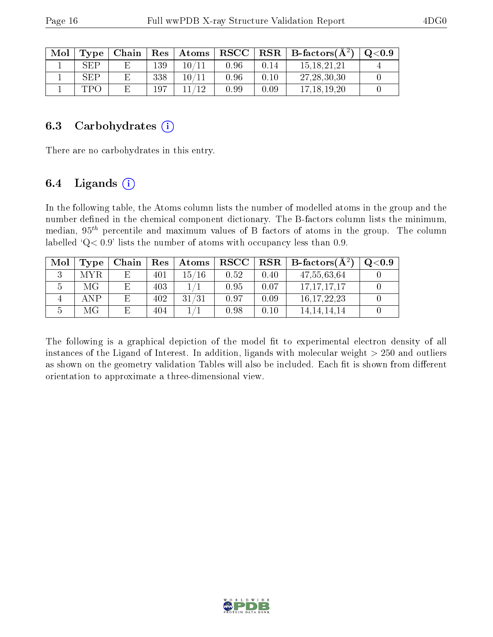| Mol | Type | Chain |     | Res   Atoms |          |      | $\mid$ RSCC $\mid$ RSR $\mid$ B-factors( $A^2$ ) | $\mathrm{O}{<}0.9$ |
|-----|------|-------|-----|-------------|----------|------|--------------------------------------------------|--------------------|
|     | SEP  |       | 139 | 10 /        | 0.96     | 0.14 | 15, 18, 21, 21                                   |                    |
|     | SEP  |       | 338 | $10\,/\,$   | 0.96     | 0.10 | 27, 28, 30, 30                                   |                    |
|     | TPO  |       | 197 | 19          | $0.99\,$ | 0.09 | 17.18.19.20                                      |                    |

#### 6.3 Carbohydrates  $(i)$

There are no carbohydrates in this entry.

### 6.4 Ligands  $(i)$

In the following table, the Atoms column lists the number of modelled atoms in the group and the number defined in the chemical component dictionary. The B-factors column lists the minimum, median,  $95<sup>th</sup>$  percentile and maximum values of B factors of atoms in the group. The column labelled 'Q< 0.9' lists the number of atoms with occupancy less than 0.9.

| Mol | Type | Chain | Res | Atoms | $\bf RSCC$ |      | $\parallel$ RSR $\parallel$ B-factors $\overline{A^2}$ | Q <sub>0.9</sub> |
|-----|------|-------|-----|-------|------------|------|--------------------------------------------------------|------------------|
|     | MYR. | E,    | 401 | 15/16 | 0.52       | 0.40 | 47,55,63,64                                            |                  |
|     | МG   | E     | 403 |       | 0.95       | 0.07 | 17, 17, 17, 17                                         |                  |
|     | ANP  | E     | 402 | 31/31 | 0.97       | 0.09 | 16, 17, 22, 23                                         |                  |
|     | МG   | E     | 404 |       | 0.98       | 0.10 | 14.14.14.14                                            |                  |

The following is a graphical depiction of the model fit to experimental electron density of all instances of the Ligand of Interest. In addition, ligands with molecular weight  $> 250$  and outliers as shown on the geometry validation Tables will also be included. Each fit is shown from different orientation to approximate a three-dimensional view.